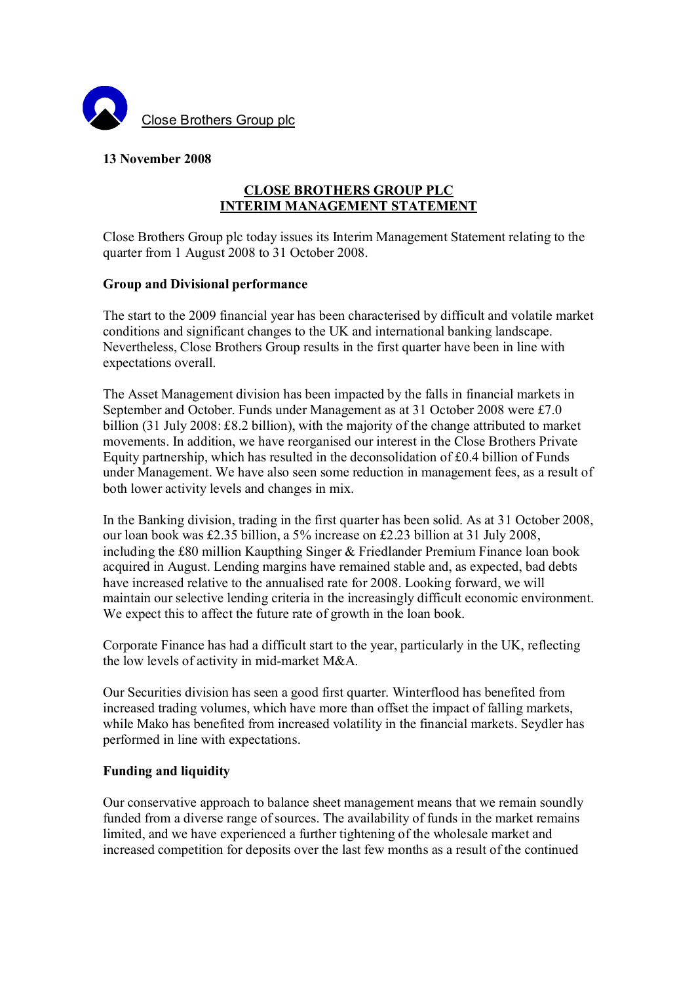

## **13 November 2008**

# **CLOSE BROTHERS GROUP PLC INTERIM MANAGEMENT STATEMENT**

Close Brothers Group plc today issues its Interim Management Statement relating to the quarter from 1 August 2008 to 31 October 2008.

### **Group and Divisional performance**

The start to the 2009 financial year has been characterised by difficult and volatile market conditions and significant changes to the UK and international banking landscape. Nevertheless, Close Brothers Group results in the first quarter have been in line with expectations overall.

The Asset Management division has been impacted by the falls in financial markets in September and October. Funds under Management as at 31 October 2008 were £7.0 billion (31 July 2008: £8.2 billion), with the majority of the change attributed to market movements. In addition, we have reorganised our interest in the Close Brothers Private Equity partnership, which has resulted in the deconsolidation of £0.4 billion of Funds under Management. We have also seen some reduction in management fees, as a result of both lower activity levels and changes in mix.

In the Banking division, trading in the first quarter has been solid. As at 31 October 2008, our loan book was £2.35 billion, a 5% increase on £2.23 billion at 31 July 2008, including the £80 million Kaupthing Singer & Friedlander Premium Finance loan book acquired in August. Lending margins have remained stable and, as expected, bad debts have increased relative to the annualised rate for 2008. Looking forward, we will maintain our selective lending criteria in the increasingly difficult economic environment. We expect this to affect the future rate of growth in the loan book.

Corporate Finance has had a difficult start to the year, particularly in the UK, reflecting the low levels of activity in mid-market M&A.

Our Securities division has seen a good first quarter. Winterflood has benefited from increased trading volumes, which have more than offset the impact of falling markets, while Mako has benefited from increased volatility in the financial markets. Seydler has performed in line with expectations.

## **Funding and liquidity**

Our conservative approach to balance sheet management means that we remain soundly funded from a diverse range of sources. The availability of funds in the market remains limited, and we have experienced a further tightening of the wholesale market and increased competition for deposits over the last few months as a result of the continued